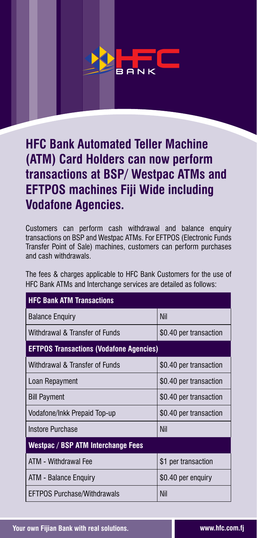# 8 A N K

### **HFC Bank Automated Teller Machine (ATM) Card Holders can now perform transactions at BSP/ Westpac ATMs and EFTPOS machines Fiji Wide including Vodafone Agencies.**

Customers can perform cash withdrawal and balance enquiry transactions on BSP and Westpac ATMs. For EFTPOS (Electronic Funds Transfer Point of Sale) machines, customers can perform purchases and cash withdrawals.

The fees & charges applicable to HFC Bank Customers for the use of HFC Bank ATMs and Interchange services are detailed as follows:

| <b>HFC Bank ATM Transactions</b>               |                        |
|------------------------------------------------|------------------------|
| <b>Balance Enquiry</b>                         | <b>Nil</b>             |
| Withdrawal & Transfer of Funds                 | \$0.40 per transaction |
| <b>EFTPOS Transactions (Vodafone Agencies)</b> |                        |
| Withdrawal & Transfer of Funds                 | \$0.40 per transaction |
| Loan Repayment                                 | \$0.40 per transaction |
| <b>Bill Payment</b>                            | \$0.40 per transaction |
| Vodafone/Inkk Prepaid Top-up                   | \$0.40 per transaction |
| <b>Instore Purchase</b>                        | <b>Nil</b>             |
| Westpac / BSP ATM Interchange Fees             |                        |
| ATM - Withdrawal Fee                           | \$1 per transaction    |
| ATM - Balance Enquiry                          | \$0.40 per enquiry     |
| <b>EFTPOS Purchase/Withdrawals</b>             | <b>Nil</b>             |